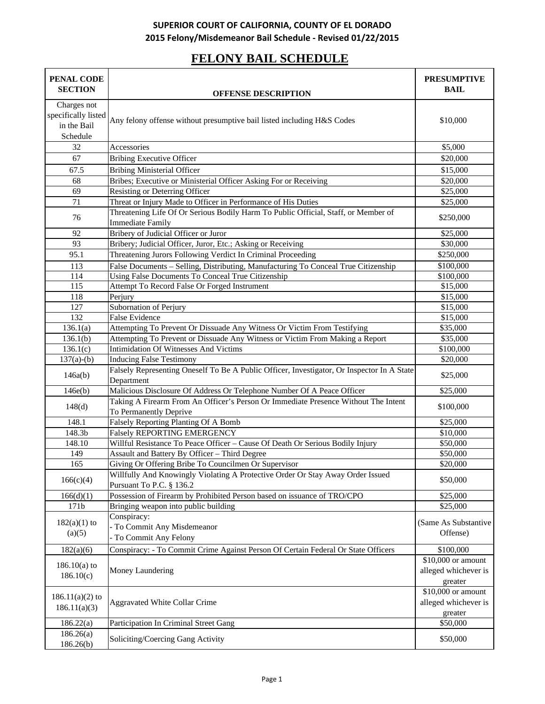# **FELONY BAIL SCHEDULE**

| PENAL CODE<br><b>SECTION</b>                                  | <b>OFFENSE DESCRIPTION</b>                                                                                    | <b>PRESUMPTIVE</b><br><b>BAIL</b>                     |
|---------------------------------------------------------------|---------------------------------------------------------------------------------------------------------------|-------------------------------------------------------|
|                                                               |                                                                                                               |                                                       |
| Charges not<br>specifically listed<br>in the Bail<br>Schedule | Any felony offense without presumptive bail listed including H&S Codes                                        | \$10,000                                              |
| 32                                                            | Accessories                                                                                                   | \$5,000                                               |
| 67                                                            | <b>Bribing Executive Officer</b>                                                                              | \$20,000                                              |
| 67.5                                                          | <b>Bribing Ministerial Officer</b>                                                                            | \$15,000                                              |
| 68                                                            | Bribes; Executive or Ministerial Officer Asking For or Receiving                                              | \$20,000                                              |
| 69                                                            | Resisting or Deterring Officer                                                                                | \$25,000                                              |
| 71                                                            | Threat or Injury Made to Officer in Performance of His Duties                                                 | \$25,000                                              |
| 76                                                            | Threatening Life Of Or Serious Bodily Harm To Public Official, Staff, or Member of<br><b>Immediate Family</b> | \$250,000                                             |
| 92                                                            | Bribery of Judicial Officer or Juror                                                                          | \$25,000                                              |
| 93                                                            | Bribery; Judicial Officer, Juror, Etc.; Asking or Receiving                                                   | \$30,000                                              |
| 95.1                                                          | Threatening Jurors Following Verdict In Criminal Proceeding                                                   | \$250,000                                             |
| 113                                                           | False Documents - Selling, Distributing, Manufacturing To Conceal True Citizenship                            | \$100,000                                             |
| $\overline{114}$                                              | Using False Documents To Conceal True Citizenship                                                             | \$100,000                                             |
| 115                                                           | Attempt To Record False Or Forged Instrument                                                                  | \$15,000                                              |
| 118                                                           | Perjury                                                                                                       | \$15,000                                              |
| 127                                                           | Subornation of Perjury                                                                                        | \$15,000                                              |
| 132                                                           | <b>False Evidence</b>                                                                                         | \$15,000                                              |
| 136.1(a)                                                      | Attempting To Prevent Or Dissuade Any Witness Or Victim From Testifying                                       | \$35,000                                              |
| 136.1(b)                                                      | Attempting To Prevent or Dissuade Any Witness or Victim From Making a Report                                  | \$35,000                                              |
| 136.1(c)                                                      | Intimidation Of Witnesses And Victims                                                                         | \$100,000                                             |
| $137(a)-(b)$                                                  | <b>Inducing False Testimony</b>                                                                               | \$20,000                                              |
| 146a(b)                                                       | Falsely Representing Oneself To Be A Public Officer, Investigator, Or Inspector In A State<br>Department      | \$25,000                                              |
| 146e(b)                                                       | Malicious Disclosure Of Address Or Telephone Number Of A Peace Officer                                        | \$25,000                                              |
| 148(d)                                                        | Taking A Firearm From An Officer's Person Or Immediate Presence Without The Intent<br>To Permanently Deprive  | \$100,000                                             |
| 148.1                                                         | Falsely Reporting Planting Of A Bomb                                                                          | \$25,000                                              |
| 148.3b                                                        | <b>Falsely REPORTING EMERGENCY</b>                                                                            | \$10,000                                              |
| 148.10                                                        | Willful Resistance To Peace Officer - Cause Of Death Or Serious Bodily Injury                                 | \$50,000                                              |
| 149                                                           | Assault and Battery By Officer - Third Degree                                                                 | \$50,000                                              |
| 165                                                           | Giving Or Offering Bribe To Councilmen Or Supervisor                                                          | \$20,000                                              |
| 166(c)(4)                                                     | Willfully And Knowingly Violating A Protective Order Or Stay Away Order Issued<br>Pursuant To P.C. § 136.2    | \$50,000                                              |
| 166(d)(1)                                                     | Possession of Firearm by Prohibited Person based on issuance of TRO/CPO                                       | \$25,000                                              |
| 171b                                                          | Bringing weapon into public building                                                                          | \$25,000                                              |
| $182(a)(1)$ to<br>(a)(5)                                      | Conspiracy:<br>- To Commit Any Misdemeanor<br>- To Commit Any Felony                                          | (Same As Substantive<br>Offense)                      |
|                                                               | Conspiracy: - To Commit Crime Against Person Of Certain Federal Or State Officers                             | \$100,000                                             |
| 182(a)(6)                                                     |                                                                                                               |                                                       |
| $186.10(a)$ to<br>186.10(c)                                   | Money Laundering                                                                                              | \$10,000 or amount<br>alleged whichever is<br>greater |
| $186.11(a)(2)$ to<br>186.11(a)(3)                             | <b>Aggravated White Collar Crime</b>                                                                          | \$10,000 or amount<br>alleged whichever is<br>greater |
| 186.22(a)                                                     | Participation In Criminal Street Gang                                                                         | \$50,000                                              |
| 186.26(a)<br>186.26(b)                                        | Soliciting/Coercing Gang Activity                                                                             | \$50,000                                              |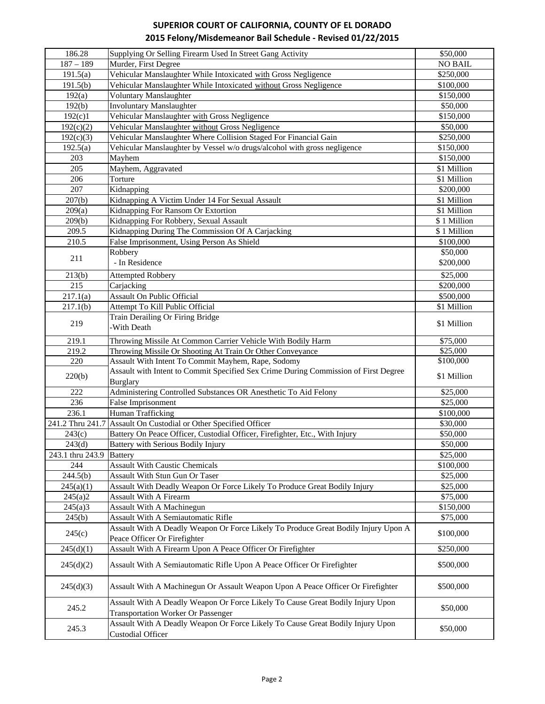| 186.28              | Supplying Or Selling Firearm Used In Street Gang Activity                                                                   | \$50,000       |
|---------------------|-----------------------------------------------------------------------------------------------------------------------------|----------------|
| $187 - 189$         | Murder, First Degree                                                                                                        | <b>NO BAIL</b> |
| 191.5(a)            | Vehicular Manslaughter While Intoxicated with Gross Negligence                                                              | \$250,000      |
| 191.5(b)            | Vehicular Manslaughter While Intoxicated without Gross Negligence                                                           | \$100,000      |
| 192(a)              | <b>Voluntary Manslaughter</b>                                                                                               | \$150,000      |
| 192(b)              | <b>Involuntary Manslaughter</b>                                                                                             | \$50,000       |
| 192(c)1             | Vehicular Manslaughter with Gross Negligence                                                                                | \$150,000      |
| 192(c)(2)           | Vehicular Manslaughter without Gross Negligence                                                                             | \$50,000       |
| 192(c)(3)           | Vehicular Manslaughter Where Collision Staged For Financial Gain                                                            | \$250,000      |
| 192.5(a)            | Vehicular Manslaughter by Vessel w/o drugs/alcohol with gross negligence                                                    | \$150,000      |
| 203                 | Mayhem                                                                                                                      | \$150,000      |
| 205                 | Mayhem, Aggravated                                                                                                          | \$1 Million    |
| 206                 | Torture                                                                                                                     | \$1 Million    |
| 207                 |                                                                                                                             |                |
|                     | Kidnapping                                                                                                                  | \$200,000      |
| $\overline{2}07(b)$ | Kidnapping A Victim Under 14 For Sexual Assault                                                                             | \$1 Million    |
| 209(a)              | Kidnapping For Ransom Or Extortion                                                                                          | \$1 Million    |
| 209(b)              | Kidnapping For Robbery, Sexual Assault                                                                                      | \$1 Million    |
| 209.5               | Kidnapping During The Commission Of A Carjacking                                                                            | \$1 Million    |
| 210.5               | False Imprisonment, Using Person As Shield                                                                                  | \$100,000      |
| 211                 | Robbery                                                                                                                     | \$50,000       |
|                     | - In Residence                                                                                                              | \$200,000      |
| 213(b)              | <b>Attempted Robbery</b>                                                                                                    | \$25,000       |
| 215                 | Carjacking                                                                                                                  | \$200,000      |
| 217.1(a)            | Assault On Public Official                                                                                                  | \$500,000      |
| 217.1(b)            | Attempt To Kill Public Official                                                                                             | \$1 Million    |
|                     | Train Derailing Or Firing Bridge                                                                                            |                |
| 219                 | -With Death                                                                                                                 | \$1 Million    |
|                     |                                                                                                                             |                |
| 219.1               | Throwing Missile At Common Carrier Vehicle With Bodily Harm                                                                 | \$75,000       |
| 219.2               | Throwing Missile Or Shooting At Train Or Other Conveyance                                                                   | \$25,000       |
| 220                 | Assault With Intent To Commit Mayhem, Rape, Sodomy                                                                          | \$100,000      |
| 220(b)              | Assault with Intent to Commit Specified Sex Crime During Commission of First Degree                                         | \$1 Million    |
|                     | <b>Burglary</b>                                                                                                             |                |
| 222                 | Administering Controlled Substances OR Anesthetic To Aid Felony                                                             | \$25,000       |
| 236                 | False Imprisonment                                                                                                          | \$25,000       |
| 236.1               | Human Trafficking                                                                                                           | \$100,000      |
| 241.2 Thru 241.7    | Assault On Custodial or Other Specified Officer                                                                             | \$30,000       |
| 243(c)              | Battery On Peace Officer, Custodial Officer, Firefighter, Etc., With Injury                                                 | \$50,000       |
| 243(d)              | Battery with Serious Bodily Injury                                                                                          | \$50,000       |
| 243.1 thru 243.9    | <b>Battery</b>                                                                                                              | \$25,000       |
| 244                 | <b>Assault With Caustic Chemicals</b>                                                                                       | \$100,000      |
| 244.5(b)            | Assault With Stun Gun Or Taser                                                                                              | \$25,000       |
| 245(a)(1)           | Assault With Deadly Weapon Or Force Likely To Produce Great Bodily Injury                                                   | \$25,000       |
| 245(a)2             | Assault With A Firearm                                                                                                      | \$75,000       |
| 245(a)3             | Assault With A Machinegun                                                                                                   | \$150,000      |
| 245(b)              | Assault With A Semiautomatic Rifle                                                                                          | \$75,000       |
|                     | Assault With A Deadly Weapon Or Force Likely To Produce Great Bodily Injury Upon A                                          |                |
| 245(c)              | Peace Officer Or Firefighter                                                                                                | \$100,000      |
| 245(d)(1)           | Assault With A Firearm Upon A Peace Officer Or Firefighter                                                                  | \$250,000      |
| 245(d)(2)           | Assault With A Semiautomatic Rifle Upon A Peace Officer Or Firefighter                                                      | \$500,000      |
| 245(d)(3)           | Assault With A Machinegun Or Assault Weapon Upon A Peace Officer Or Firefighter                                             | \$500,000      |
| 245.2               | Assault With A Deadly Weapon Or Force Likely To Cause Great Bodily Injury Upon                                              | \$50,000       |
|                     | <b>Transportation Worker Or Passenger</b><br>Assault With A Deadly Weapon Or Force Likely To Cause Great Bodily Injury Upon |                |
| 245.3               | <b>Custodial Officer</b>                                                                                                    | \$50,000       |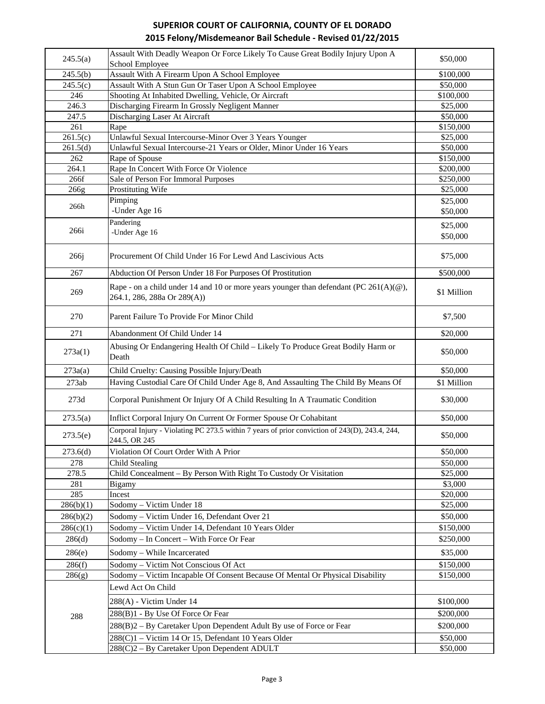| 245.5(a)  | Assault With Deadly Weapon Or Force Likely To Cause Great Bodily Injury Upon A                                          | \$50,000              |
|-----------|-------------------------------------------------------------------------------------------------------------------------|-----------------------|
|           | School Employee<br>Assault With A Firearm Upon A School Employee                                                        | \$100,000             |
| 245.5(b)  |                                                                                                                         |                       |
| 245.5(c)  | Assault With A Stun Gun Or Taser Upon A School Employee                                                                 | \$50,000<br>\$100,000 |
| 246       | Shooting At Inhabited Dwelling, Vehicle, Or Aircraft                                                                    |                       |
| 246.3     | Discharging Firearm In Grossly Negligent Manner                                                                         | \$25,000              |
| 247.5     | Discharging Laser At Aircraft                                                                                           | \$50,000              |
| 261       | Rape                                                                                                                    | \$150,000             |
| 261.5(c)  | Unlawful Sexual Intercourse-Minor Over 3 Years Younger                                                                  | \$25,000              |
| 261.5(d)  | Unlawful Sexual Intercourse-21 Years or Older, Minor Under 16 Years                                                     | \$50,000              |
| 262       | Rape of Spouse                                                                                                          | \$150,000             |
| 264.1     | Rape In Concert With Force Or Violence                                                                                  | \$200,000             |
| 266f      | Sale of Person For Immoral Purposes                                                                                     | \$250,000             |
| 266g      | Prostituting Wife                                                                                                       | \$25,000              |
| 266h      | Pimping                                                                                                                 | \$25,000              |
|           | -Under Age 16                                                                                                           | \$50,000              |
|           | Pandering                                                                                                               | \$25,000              |
| 266i      | -Under Age 16                                                                                                           | \$50,000              |
|           |                                                                                                                         |                       |
| 266j      | Procurement Of Child Under 16 For Lewd And Lascivious Acts                                                              | \$75,000              |
| 267       | Abduction Of Person Under 18 For Purposes Of Prostitution                                                               | \$500,000             |
|           |                                                                                                                         |                       |
| 269       | Rape - on a child under 14 and 10 or more years younger than defendant (PC $261(A)(@)$ ,<br>264.1, 286, 288a Or 289(A)) | \$1 Million           |
| 270       | Parent Failure To Provide For Minor Child                                                                               | \$7,500               |
| 271       | Abandonment Of Child Under 14                                                                                           | \$20,000              |
|           | Abusing Or Endangering Health Of Child - Likely To Produce Great Bodily Harm or                                         |                       |
| 273a(1)   | Death                                                                                                                   | \$50,000              |
| 273a(a)   | Child Cruelty: Causing Possible Injury/Death                                                                            | \$50,000              |
| 273ab     | Having Custodial Care Of Child Under Age 8, And Assaulting The Child By Means Of                                        | \$1 Million           |
| 273d      | Corporal Punishment Or Injury Of A Child Resulting In A Traumatic Condition                                             | \$30,000              |
| 273.5(a)  | Inflict Corporal Injury On Current Or Former Spouse Or Cohabitant                                                       | \$50,000              |
|           | Corporal Injury - Violating PC 273.5 within 7 years of prior conviction of 243(D), 243.4, 244,                          |                       |
| 273.5(e)  | 244.5, OR 245                                                                                                           | \$50,000              |
| 273.6(d)  | Violation Of Court Order With A Prior                                                                                   | \$50,000              |
| 278       | <b>Child Stealing</b>                                                                                                   | \$50,000              |
| 278.5     | Child Concealment – By Person With Right To Custody Or Visitation                                                       | \$25,000              |
| 281       | Bigamy                                                                                                                  | \$3,000               |
| 285       | Incest                                                                                                                  | \$20,000              |
| 286(b)(1) | Sodomy - Victim Under 18                                                                                                | \$25,000              |
| 286(b)(2) | Sodomy - Victim Under 16, Defendant Over 21                                                                             | \$50,000              |
| 286(c)(1) | Sodomy - Victim Under 14, Defendant 10 Years Older                                                                      | \$150,000             |
|           |                                                                                                                         |                       |
| 286(d)    | Sodomy - In Concert - With Force Or Fear                                                                                | \$250,000             |
| 286(e)    | Sodomy – While Incarcerated                                                                                             | \$35,000              |
| 286(f)    | Sodomy - Victim Not Conscious Of Act                                                                                    | \$150,000             |
| 286(g)    | Sodomy - Victim Incapable Of Consent Because Of Mental Or Physical Disability                                           | \$150,000             |
|           | Lewd Act On Child                                                                                                       |                       |
|           | 288(A) - Victim Under 14                                                                                                | \$100,000             |
| 288       | 288(B)1 - By Use Of Force Or Fear                                                                                       | \$200,000             |
|           | 288(B)2 - By Caretaker Upon Dependent Adult By use of Force or Fear                                                     | \$200,000             |
|           | 288(C)1 - Victim 14 Or 15, Defendant 10 Years Older                                                                     | \$50,000              |
|           | 288(C)2 - By Caretaker Upon Dependent ADULT                                                                             | \$50,000              |
|           |                                                                                                                         |                       |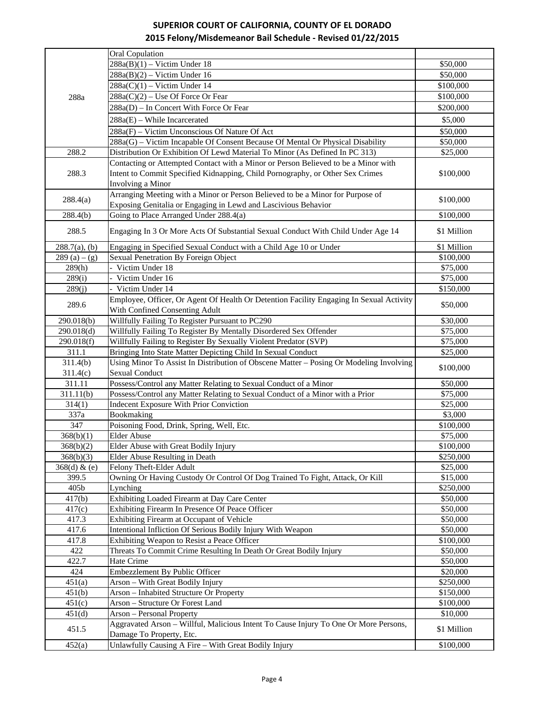|                  | Oral Copulation                                                                                                           |             |
|------------------|---------------------------------------------------------------------------------------------------------------------------|-------------|
|                  | $288a(B)(1)$ – Victim Under 18                                                                                            | \$50,000    |
|                  | $288a(B)(2)$ – Victim Under 16                                                                                            | \$50,000    |
|                  | $288a(C)(1)$ – Victim Under 14                                                                                            | \$100,000   |
| 288a             | $288a(C)(2)$ – Use Of Force Or Fear                                                                                       | \$100,000   |
|                  | 288a(D) - In Concert With Force Or Fear                                                                                   | \$200,000   |
|                  | $288a(E)$ – While Incarcerated                                                                                            | \$5,000     |
|                  | 288a(F) – Victim Unconscious Of Nature Of Act                                                                             | \$50,000    |
|                  | 288a(G) – Victim Incapable Of Consent Because Of Mental Or Physical Disability                                            | \$50,000    |
| 288.2            | Distribution Or Exhibition Of Lewd Material To Minor (As Defined In PC 313)                                               | \$25,000    |
|                  | Contacting or Attempted Contact with a Minor or Person Believed to be a Minor with                                        |             |
| 288.3            | Intent to Commit Specified Kidnapping, Child Pornography, or Other Sex Crimes                                             | \$100,000   |
|                  | Involving a Minor                                                                                                         |             |
|                  | Arranging Meeting with a Minor or Person Believed to be a Minor for Purpose of                                            |             |
| 288.4(a)         | Exposing Genitalia or Engaging in Lewd and Lascivious Behavior                                                            | \$100,000   |
| 288.4(b)         | Going to Place Arranged Under 288.4(a)                                                                                    | \$100,000   |
|                  |                                                                                                                           |             |
| 288.5            | Engaging In 3 Or More Acts Of Substantial Sexual Conduct With Child Under Age 14                                          | \$1 Million |
| $288.7(a)$ , (b) | Engaging in Specified Sexual Conduct with a Child Age 10 or Under                                                         | \$1 Million |
| 289 (a) $-$ (g)  | Sexual Penetration By Foreign Object                                                                                      | \$100,000   |
| 289(h)           | - Victim Under 18                                                                                                         | \$75,000    |
| 289(i)           | Victim Under 16                                                                                                           | \$75,000    |
| 289(j)           | - Victim Under 14                                                                                                         | \$150,000   |
| 289.6            | Employee, Officer, Or Agent Of Health Or Detention Facility Engaging In Sexual Activity<br>With Confined Consenting Adult | \$50,000    |
| 290.018(b)       | Willfully Failing To Register Pursuant to PC290                                                                           | \$30,000    |
| 290.018(d)       | Willfully Failing To Register By Mentally Disordered Sex Offender                                                         | \$75,000    |
| 290.018(f)       | Willfully Failing to Register By Sexually Violent Predator (SVP)                                                          | \$75,000    |
| 311.1            | Bringing Into State Matter Depicting Child In Sexual Conduct                                                              | \$25,000    |
| 311.4(b)         | Using Minor To Assist In Distribution of Obscene Matter - Posing Or Modeling Involving                                    |             |
| 311.4(c)         | <b>Sexual Conduct</b>                                                                                                     | \$100,000   |
| 311.11           | Possess/Control any Matter Relating to Sexual Conduct of a Minor                                                          | \$50,000    |
| 311.11(b)        | Possess/Control any Matter Relating to Sexual Conduct of a Minor with a Prior                                             | \$75,000    |
| 314(1)           | <b>Indecent Exposure With Prior Conviction</b>                                                                            | \$25,000    |
| 337a             | Bookmaking                                                                                                                | \$3,000     |
| 347              | Poisoning Food, Drink, Spring, Well, Etc.                                                                                 | \$100,000   |
| 368(b)(1)        | <b>Elder Abuse</b>                                                                                                        | \$75,000    |
| 368(b)(2)        | Elder Abuse with Great Bodily Injury                                                                                      | \$100,000   |
| 368(b)(3)        | Elder Abuse Resulting in Death                                                                                            | \$250,000   |
| 368(d) & (e)     | Felony Theft-Elder Adult                                                                                                  | \$25,000    |
| 399.5            | Owning Or Having Custody Or Control Of Dog Trained To Fight, Attack, Or Kill                                              | \$15,000    |
| 405b             | Lynching                                                                                                                  | \$250,000   |
| 417(b)           | Exhibiting Loaded Firearm at Day Care Center                                                                              | \$50,000    |
| 417(c)           | Exhibiting Firearm In Presence Of Peace Officer                                                                           | \$50,000    |
| 417.3            | Exhibiting Firearm at Occupant of Vehicle                                                                                 | \$50,000    |
| 417.6            | Intentional Infliction Of Serious Bodily Injury With Weapon                                                               | \$50,000    |
| 417.8            | Exhibiting Weapon to Resist a Peace Officer                                                                               | \$100,000   |
| 422              | Threats To Commit Crime Resulting In Death Or Great Bodily Injury                                                         | \$50,000    |
| 422.7            | Hate Crime                                                                                                                | \$50,000    |
| 424              | Embezzlement By Public Officer                                                                                            | \$20,000    |
| 451(a)           | Arson - With Great Bodily Injury                                                                                          | \$250,000   |
| 451(b)           | Arson - Inhabited Structure Or Property                                                                                   | \$150,000   |
| 451(c)           | Arson - Structure Or Forest Land                                                                                          | \$100,000   |
| 451(d)           | <b>Arson</b> – Personal Property                                                                                          | \$10,000    |
| 451.5            | Aggravated Arson - Willful, Malicious Intent To Cause Injury To One Or More Persons,<br>Damage To Property, Etc.          | \$1 Million |
| 452(a)           | Unlawfully Causing A Fire - With Great Bodily Injury                                                                      | \$100,000   |
|                  |                                                                                                                           |             |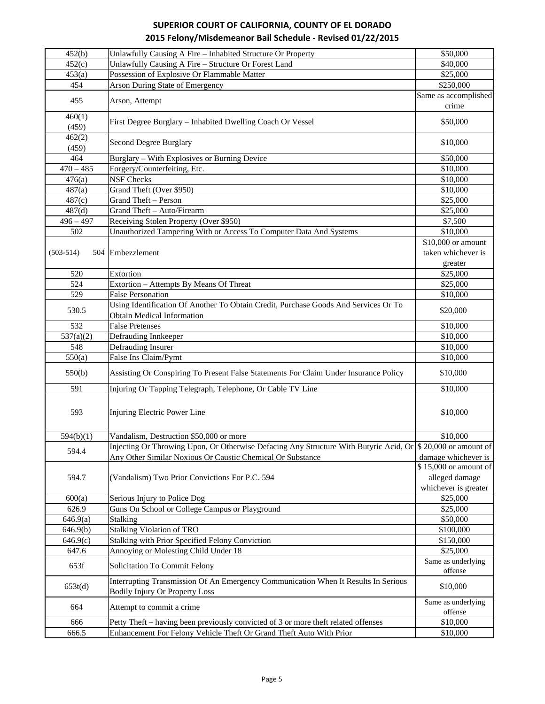| 452(b)          | Unlawfully Causing A Fire - Inhabited Structure Or Property                                                              | \$50,000                      |
|-----------------|--------------------------------------------------------------------------------------------------------------------------|-------------------------------|
| 452(c)          | Unlawfully Causing A Fire - Structure Or Forest Land                                                                     | \$40,000                      |
| 453(a)          | Possession of Explosive Or Flammable Matter                                                                              | \$25,000                      |
| 454             | <b>Arson During State of Emergency</b>                                                                                   | \$250,000                     |
| 455             |                                                                                                                          | Same as accomplished          |
|                 | Arson, Attempt                                                                                                           | crime                         |
| 460(1)<br>(459) | First Degree Burglary - Inhabited Dwelling Coach Or Vessel                                                               | \$50,000                      |
| 462(2)<br>(459) | Second Degree Burglary                                                                                                   | \$10,000                      |
| 464             | Burglary - With Explosives or Burning Device                                                                             | \$50,000                      |
| $470 - 485$     | Forgery/Counterfeiting, Etc.                                                                                             | \$10,000                      |
| 476(a)          | <b>NSF Checks</b>                                                                                                        | \$10,000                      |
| 487(a)          | Grand Theft (Over \$950)                                                                                                 | \$10,000                      |
| 487(c)          | Grand Theft - Person                                                                                                     | \$25,000                      |
| 487(d)          | Grand Theft - Auto/Firearm                                                                                               | \$25,000                      |
| $496 - 497$     | Receiving Stolen Property (Over \$950)                                                                                   | \$7,500                       |
| 502             | Unauthorized Tampering With or Access To Computer Data And Systems                                                       | \$10,000                      |
|                 |                                                                                                                          | \$10,000 or amount            |
| $(503-514)$     | 504 Embezzlement                                                                                                         | taken whichever is            |
|                 |                                                                                                                          | greater                       |
| 520             | Extortion                                                                                                                | \$25,000                      |
| 524             | Extortion - Attempts By Means Of Threat                                                                                  | \$25,000                      |
| 529             | <b>False Personation</b>                                                                                                 | \$10,000                      |
| 530.5           | Using Identification Of Another To Obtain Credit, Purchase Goods And Services Or To<br><b>Obtain Medical Information</b> | \$20,000                      |
| 532             | <b>False Pretenses</b>                                                                                                   | \$10,000                      |
| 537(a)(2)       | Defrauding Innkeeper                                                                                                     | \$10,000                      |
| 548             | Defrauding Insurer                                                                                                       | \$10,000                      |
| 550(a)          | False Ins Claim/Pymt                                                                                                     | \$10,000                      |
|                 |                                                                                                                          |                               |
| 550(b)          | Assisting Or Conspiring To Present False Statements For Claim Under Insurance Policy                                     | \$10,000                      |
| 591             | Injuring Or Tapping Telegraph, Telephone, Or Cable TV Line                                                               | \$10,000                      |
| 593             | Injuring Electric Power Line                                                                                             | \$10,000                      |
| 594(b)(1)       | Vandalism, Destruction \$50,000 or more                                                                                  | \$10,000                      |
|                 | Injecting Or Throwing Upon, Or Otherwise Defacing Any Structure With Butyric Acid, Or \$ 20,000 or amount of             |                               |
| 594.4           | Any Other Similar Noxious Or Caustic Chemical Or Substance                                                               | damage whichever is           |
|                 |                                                                                                                          | \$15,000 or amount of         |
| 594.7           | (Vandalism) Two Prior Convictions For P.C. 594                                                                           | alleged damage                |
|                 |                                                                                                                          | whichever is greater          |
| 600(a)          | Serious Injury to Police Dog                                                                                             | \$25,000                      |
| 626.9           | Guns On School or College Campus or Playground                                                                           | \$25,000                      |
| 646.9(a)        | Stalking                                                                                                                 | \$50,000                      |
| 646.9(b)        | <b>Stalking Violation of TRO</b>                                                                                         | \$100,000                     |
| 646.9(c)        | Stalking with Prior Specified Felony Conviction                                                                          | \$150,000                     |
| 647.6           | Annoying or Molesting Child Under 18                                                                                     | \$25,000                      |
| 653f            | Solicitation To Commit Felony                                                                                            | Same as underlying<br>offense |
|                 | Interrupting Transmission Of An Emergency Communication When It Results In Serious                                       |                               |
| 653t(d)         | <b>Bodily Injury Or Property Loss</b>                                                                                    | \$10,000                      |
| 664             | Attempt to commit a crime                                                                                                | Same as underlying            |
|                 |                                                                                                                          | offense                       |
| 666             | Petty Theft – having been previously convicted of 3 or more theft related offenses                                       | \$10,000                      |
| 666.5           | Enhancement For Felony Vehicle Theft Or Grand Theft Auto With Prior                                                      | \$10,000                      |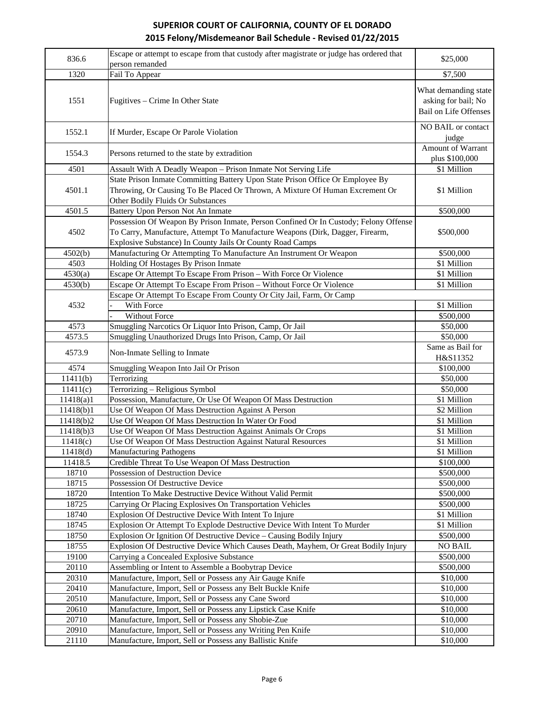| 836.6          | Escape or attempt to escape from that custody after magistrate or judge has ordered that<br>person remanded                                                                                                                        | \$25,000                                                                    |
|----------------|------------------------------------------------------------------------------------------------------------------------------------------------------------------------------------------------------------------------------------|-----------------------------------------------------------------------------|
| 1320           | Fail To Appear                                                                                                                                                                                                                     | \$7,500                                                                     |
|                |                                                                                                                                                                                                                                    |                                                                             |
| 1551           | Fugitives - Crime In Other State                                                                                                                                                                                                   | What demanding state<br>asking for bail; No<br><b>Bail on Life Offenses</b> |
| 1552.1         | If Murder, Escape Or Parole Violation                                                                                                                                                                                              | NO BAIL or contact<br>judge                                                 |
| 1554.3         | Persons returned to the state by extradition                                                                                                                                                                                       | Amount of Warrant<br>plus \$100,000                                         |
| 4501           | Assault With A Deadly Weapon - Prison Inmate Not Serving Life                                                                                                                                                                      | \$1 Million                                                                 |
| 4501.1         | State Prison Inmate Committing Battery Upon State Prison Office Or Employee By<br>Throwing, Or Causing To Be Placed Or Thrown, A Mixture Of Human Excrement Or<br>Other Bodily Fluids Or Substances                                | \$1 Million                                                                 |
| 4501.5         | Battery Upon Person Not An Inmate                                                                                                                                                                                                  | \$500,000                                                                   |
| 4502           | Possession Of Weapon By Prison Inmate, Person Confined Or In Custody; Felony Offense<br>To Carry, Manufacture, Attempt To Manufacture Weapons (Dirk, Dagger, Firearm,<br>Explosive Substance) In County Jails Or County Road Camps | \$500,000                                                                   |
| 4502(b)        | Manufacturing Or Attempting To Manufacture An Instrument Or Weapon                                                                                                                                                                 | \$500,000                                                                   |
| 4503           | Holding Of Hostages By Prison Inmate                                                                                                                                                                                               | \$1 Million                                                                 |
| 4530(a)        | Escape Or Attempt To Escape From Prison - With Force Or Violence                                                                                                                                                                   | \$1 Million                                                                 |
| 4530(b)        | Escape Or Attempt To Escape From Prison - Without Force Or Violence                                                                                                                                                                | \$1 Million                                                                 |
|                | Escape Or Attempt To Escape From County Or City Jail, Farm, Or Camp                                                                                                                                                                |                                                                             |
| 4532           | With Force                                                                                                                                                                                                                         | \$1 Million                                                                 |
|                | <b>Without Force</b>                                                                                                                                                                                                               | \$500,000                                                                   |
| 4573           | Smuggling Narcotics Or Liquor Into Prison, Camp, Or Jail                                                                                                                                                                           | \$50,000                                                                    |
| 4573.5         | Smuggling Unauthorized Drugs Into Prison, Camp, Or Jail                                                                                                                                                                            | \$50,000                                                                    |
| 4573.9         | Non-Inmate Selling to Inmate                                                                                                                                                                                                       | Same as Bail for<br>H&S11352                                                |
| 4574           | Smuggling Weapon Into Jail Or Prison                                                                                                                                                                                               | \$100,000                                                                   |
| 11411(b)       | Terrorizing                                                                                                                                                                                                                        | \$50,000                                                                    |
| 11411(c)       | Terrorizing - Religious Symbol                                                                                                                                                                                                     | \$50,000                                                                    |
| 11418(a)1      | Possession, Manufacture, Or Use Of Weapon Of Mass Destruction                                                                                                                                                                      | \$1 Million                                                                 |
| 11418(b)1      | Use Of Weapon Of Mass Destruction Against A Person                                                                                                                                                                                 | \$2 Million                                                                 |
| 11418(b)2      | Use Of Weapon Of Mass Destruction In Water Or Food                                                                                                                                                                                 | \$1 Million                                                                 |
| 11418(b)3      | Use Of Weapon Of Mass Destruction Against Animals Or Crops                                                                                                                                                                         | \$1 Million                                                                 |
| 11418(c)       | Use Of Weapon Of Mass Destruction Against Natural Resources                                                                                                                                                                        | \$1 Million                                                                 |
| 11418(d)       | <b>Manufacturing Pathogens</b>                                                                                                                                                                                                     | \$1 Million                                                                 |
| 11418.5        | Credible Threat To Use Weapon Of Mass Destruction                                                                                                                                                                                  | \$100,000                                                                   |
| 18710          | Possession of Destruction Device                                                                                                                                                                                                   | \$500,000                                                                   |
| 18715          | Possession Of Destructive Device                                                                                                                                                                                                   | \$500,000                                                                   |
| 18720          | Intention To Make Destructive Device Without Valid Permit                                                                                                                                                                          | \$500,000                                                                   |
| 18725          | Carrying Or Placing Explosives On Transportation Vehicles                                                                                                                                                                          | \$500,000                                                                   |
| 18740          | Explosion Of Destructive Device With Intent To Injure                                                                                                                                                                              | \$1 Million                                                                 |
| 18745          | Explosion Or Attempt To Explode Destructive Device With Intent To Murder                                                                                                                                                           | \$1 Million                                                                 |
| 18750<br>18755 | Explosion Or Ignition Of Destructive Device – Causing Bodily Injury<br>Explosion Of Destructive Device Which Causes Death, Mayhem, Or Great Bodily Injury                                                                          | \$500,000<br><b>NO BAIL</b>                                                 |
| 19100          | Carrying a Concealed Explosive Substance                                                                                                                                                                                           | \$500,000                                                                   |
| 20110          | Assembling or Intent to Assemble a Boobytrap Device                                                                                                                                                                                | \$500,000                                                                   |
| 20310          | Manufacture, Import, Sell or Possess any Air Gauge Knife                                                                                                                                                                           | \$10,000                                                                    |
| 20410          | Manufacture, Import, Sell or Possess any Belt Buckle Knife                                                                                                                                                                         | \$10,000                                                                    |
| 20510          | Manufacture, Import, Sell or Possess any Cane Sword                                                                                                                                                                                | \$10,000                                                                    |
| 20610          | Manufacture, Import, Sell or Possess any Lipstick Case Knife                                                                                                                                                                       | \$10,000                                                                    |
| 20710          | Manufacture, Import, Sell or Possess any Shobie-Zue                                                                                                                                                                                | \$10,000                                                                    |
| 20910          | Manufacture, Import, Sell or Possess any Writing Pen Knife                                                                                                                                                                         | \$10,000                                                                    |
| 21110          | Manufacture, Import, Sell or Possess any Ballistic Knife                                                                                                                                                                           | \$10,000                                                                    |
|                |                                                                                                                                                                                                                                    |                                                                             |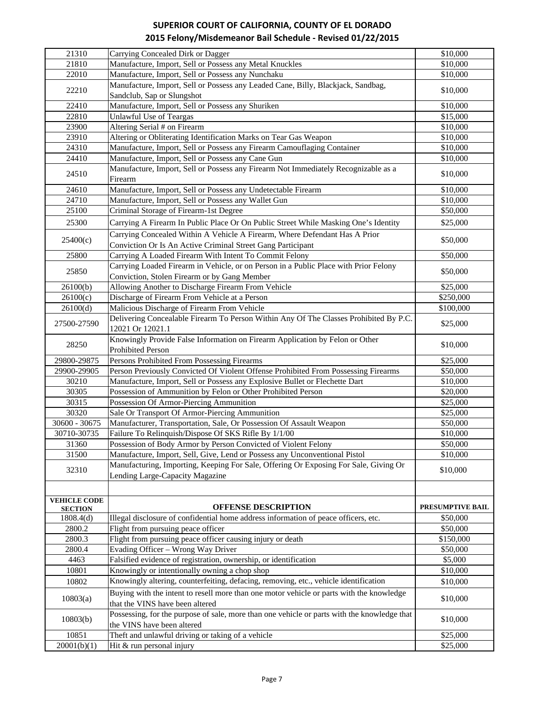| 21310               | Carrying Concealed Dirk or Dagger                                                                                                    | \$10,000         |
|---------------------|--------------------------------------------------------------------------------------------------------------------------------------|------------------|
| 21810               | Manufacture, Import, Sell or Possess any Metal Knuckles                                                                              | \$10,000         |
| 22010               | Manufacture, Import, Sell or Possess any Nunchaku                                                                                    | \$10,000         |
|                     | Manufacture, Import, Sell or Possess any Leaded Cane, Billy, Blackjack, Sandbag,                                                     |                  |
| 22210               | Sandclub, Sap or Slungshot                                                                                                           | \$10,000         |
| 22410               | Manufacture, Import, Sell or Possess any Shuriken                                                                                    | \$10,000         |
| 22810               | <b>Unlawful Use of Teargas</b>                                                                                                       | \$15,000         |
| 23900               | Altering Serial # on Firearm                                                                                                         | \$10,000         |
| 23910               | Altering or Obliterating Identification Marks on Tear Gas Weapon                                                                     | \$10,000         |
| 24310               | Manufacture, Import, Sell or Possess any Firearm Camouflaging Container                                                              | \$10,000         |
| 24410               | Manufacture, Import, Sell or Possess any Cane Gun                                                                                    | \$10,000         |
| 24510               | Manufacture, Import, Sell or Possess any Firearm Not Immediately Recognizable as a<br>Firearm                                        | \$10,000         |
| 24610               | Manufacture, Import, Sell or Possess any Undetectable Firearm                                                                        | \$10,000         |
| 24710               | Manufacture, Import, Sell or Possess any Wallet Gun                                                                                  | \$10,000         |
| 25100               | Criminal Storage of Firearm-1st Degree                                                                                               | \$50,000         |
| 25300               | Carrying A Firearm In Public Place Or On Public Street While Masking One's Identity                                                  | \$25,000         |
|                     |                                                                                                                                      |                  |
| 25400(c)            | Carrying Concealed Within A Vehicle A Firearm, Where Defendant Has A Prior                                                           | \$50,000         |
|                     | Conviction Or Is An Active Criminal Street Gang Participant                                                                          |                  |
| 25800               | Carrying A Loaded Firearm With Intent To Commit Felony                                                                               | \$50,000         |
| 25850               | Carrying Loaded Firearm in Vehicle, or on Person in a Public Place with Prior Felony<br>Conviction, Stolen Firearm or by Gang Member | \$50,000         |
| 26100(b)            | Allowing Another to Discharge Firearm From Vehicle                                                                                   | \$25,000         |
| 26100(c)            | Discharge of Firearm From Vehicle at a Person                                                                                        | \$250,000        |
| 26100(d)            | Malicious Discharge of Firearm From Vehicle                                                                                          | \$100,000        |
| 27500-27590         | Delivering Concealable Firearm To Person Within Any Of The Classes Prohibited By P.C.<br>12021 Or 12021.1                            | \$25,000         |
| 28250               | Knowingly Provide False Information on Firearm Application by Felon or Other<br><b>Prohibited Person</b>                             | \$10,000         |
| 29800-29875         | Persons Prohibited From Possessing Firearms                                                                                          | \$25,000         |
| 29900-29905         | Person Previously Convicted Of Violent Offense Prohibited From Possessing Firearms                                                   | \$50,000         |
| 30210               | Manufacture, Import, Sell or Possess any Explosive Bullet or Flechette Dart                                                          | \$10,000         |
| 30305               | Possession of Ammunition by Felon or Other Prohibited Person                                                                         | \$20,000         |
| 30315               | Possession Of Armor-Piercing Ammunition                                                                                              | \$25,000         |
| 30320               | Sale Or Transport Of Armor-Piercing Ammunition                                                                                       | \$25,000         |
| 30600 - 30675       | Manufacturer, Transportation, Sale, Or Possession Of Assault Weapon                                                                  | \$50,000         |
| 30710-30735         | Failure To Relinquish/Dispose Of SKS Rifle By 1/1/00                                                                                 | \$10,000         |
| 31360               | Possession of Body Armor by Person Convicted of Violent Felony                                                                       | \$50,000         |
| 31500               | Manufacture, Import, Sell, Give, Lend or Possess any Unconventional Pistol                                                           | \$10,000         |
| 32310               | Manufacturing, Importing, Keeping For Sale, Offering Or Exposing For Sale, Giving Or<br>Lending Large-Capacity Magazine              | \$10,000         |
|                     |                                                                                                                                      |                  |
| <b>VEHICLE CODE</b> | <b>OFFENSE DESCRIPTION</b>                                                                                                           | PRESUMPTIVE BAIL |
| <b>SECTION</b>      | Illegal disclosure of confidential home address information of peace officers, etc.                                                  |                  |
| 1808.4(d)           | Flight from pursuing peace officer                                                                                                   | \$50,000         |
| 2800.2              |                                                                                                                                      | \$50,000         |
| 2800.3              | Flight from pursuing peace officer causing injury or death                                                                           | \$150,000        |
| 2800.4              | Evading Officer - Wrong Way Driver                                                                                                   | \$50,000         |
| 4463                | Falsified evidence of registration, ownership, or identification                                                                     | \$5,000          |
| 10801               | Knowingly or intentionally owning a chop shop                                                                                        | \$10,000         |
| 10802               | Knowingly altering, counterfeiting, defacing, removing, etc., vehicle identification                                                 | \$10,000         |
| 10803(a)            | Buying with the intent to resell more than one motor vehicle or parts with the knowledge<br>that the VINS have been altered          | \$10,000         |
| 10803(b)            | Possessing, for the purpose of sale, more than one vehicle or parts with the knowledge that<br>the VINS have been altered            | \$10,000         |
| 10851               | Theft and unlawful driving or taking of a vehicle                                                                                    | \$25,000         |
| 20001(b)(1)         | Hit & run personal injury                                                                                                            | \$25,000         |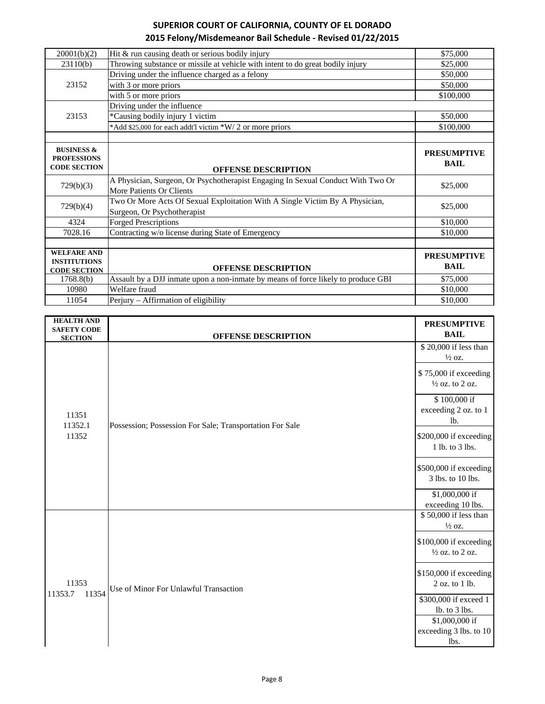| 20001(b)(2)           | Hit $&$ run causing death or serious bodily injury                                | \$75,000           |
|-----------------------|-----------------------------------------------------------------------------------|--------------------|
| 23110(b)              | Throwing substance or missile at vehicle with intent to do great bodily injury    | \$25,000           |
|                       | Driving under the influence charged as a felony                                   | \$50,000           |
| 23152                 | with 3 or more priors                                                             | \$50,000           |
|                       | with 5 or more priors                                                             | \$100,000          |
|                       | Driving under the influence                                                       |                    |
| 23153                 | *Causing bodily injury 1 victim                                                   | \$50,000           |
|                       | *Add \$25,000 for each addt'l victim *W/2 or more priors                          | \$100,000          |
|                       |                                                                                   |                    |
| <b>BUSINESS &amp;</b> |                                                                                   | <b>PRESUMPTIVE</b> |
| <b>PROFESSIONS</b>    |                                                                                   |                    |
| <b>CODE SECTION</b>   |                                                                                   | <b>BAIL</b>        |
|                       | <b>OFFENSE DESCRIPTION</b>                                                        |                    |
|                       | A Physician, Surgeon, Or Psychotherapist Engaging In Sexual Conduct With Two Or   | \$25,000           |
| 729(b)(3)             | More Patients Or Clients                                                          |                    |
|                       | Two Or More Acts Of Sexual Exploitation With A Single Victim By A Physician,      |                    |
| 729(b)(4)             | Surgeon, Or Psychotherapist                                                       | \$25,000           |
| 4324                  | <b>Forged Prescriptions</b>                                                       | \$10,000           |
| 7028.16               | Contracting w/o license during State of Emergency                                 | \$10,000           |
|                       |                                                                                   |                    |
| <b>WELFARE AND</b>    |                                                                                   | <b>PRESUMPTIVE</b> |
| <b>INSTITUTIONS</b>   |                                                                                   |                    |
| <b>CODE SECTION</b>   | <b>OFFENSE DESCRIPTION</b>                                                        | <b>BAIL</b>        |
| 1768.8(b)             | Assault by a DJJ inmate upon a non-inmate by means of force likely to produce GBI | \$75,000           |
| 10980                 | Welfare fraud                                                                     | \$10,000           |
| 11054                 | Perjury – Affirmation of eligibility                                              | \$10,000           |

| <b>HEALTH AND</b>                    |                                                          | <b>PRESUMPTIVE</b>                                                                                |
|--------------------------------------|----------------------------------------------------------|---------------------------------------------------------------------------------------------------|
| <b>SAFETY CODE</b><br><b>SECTION</b> | <b>OFFENSE DESCRIPTION</b>                               | <b>BAIL</b>                                                                                       |
| 11351<br>11352.1<br>11352            | Possession; Possession For Sale; Transportation For Sale | \$20,000 if less than<br>$\frac{1}{2}$ oz.<br>\$75,000 if exceeding<br>$\frac{1}{2}$ oz. to 2 oz. |
|                                      |                                                          | \$100,000 if<br>exceeding 2 oz. to 1<br>lb.                                                       |
|                                      |                                                          | \$200,000 if exceeding<br>1 lb. to 3 lbs.                                                         |
|                                      |                                                          | \$500,000 if exceeding<br>3 lbs. to 10 lbs.                                                       |
|                                      |                                                          | \$1,000,000 if<br>exceeding 10 lbs.                                                               |
|                                      |                                                          | \$50,000 if less than<br>$\frac{1}{2}$ oz.                                                        |
| 11353<br>11354<br>11353.7            | Use of Minor For Unlawful Transaction                    | \$100,000 if exceeding<br>$\frac{1}{2}$ oz. to 2 oz.                                              |
|                                      |                                                          | \$150,000 if exceeding<br>2 oz. to 1 lb.                                                          |
|                                      |                                                          | \$300,000 if exceed 1<br>lb. to 3 lbs.                                                            |
|                                      |                                                          | \$1,000,000 if                                                                                    |
|                                      |                                                          | exceeding 3 lbs. to 10                                                                            |
|                                      |                                                          | lbs.                                                                                              |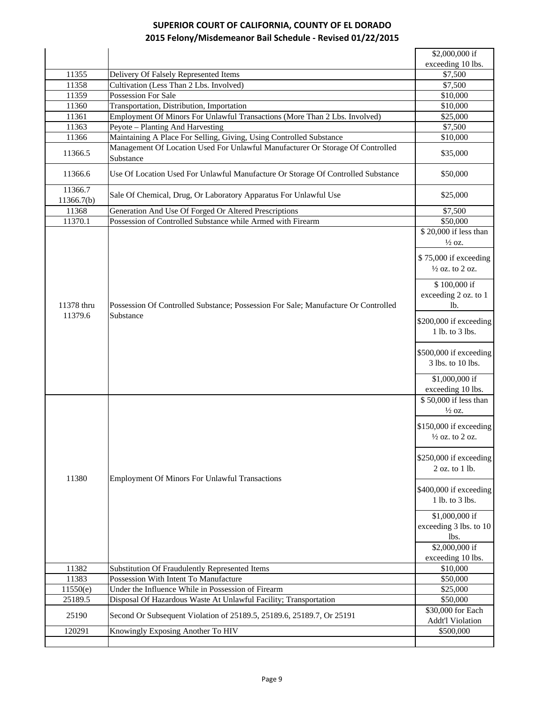|                       |                                                                                                 | \$2,000,000 if                                                                                                                                                                                                                                                                          |
|-----------------------|-------------------------------------------------------------------------------------------------|-----------------------------------------------------------------------------------------------------------------------------------------------------------------------------------------------------------------------------------------------------------------------------------------|
|                       |                                                                                                 | exceeding 10 lbs.                                                                                                                                                                                                                                                                       |
| 11355                 | Delivery Of Falsely Represented Items                                                           | \$7,500                                                                                                                                                                                                                                                                                 |
| 11358                 | Cultivation (Less Than 2 Lbs. Involved)                                                         | \$7,500                                                                                                                                                                                                                                                                                 |
| 11359                 | Possession For Sale                                                                             | \$10,000                                                                                                                                                                                                                                                                                |
| 11360                 | Transportation, Distribution, Importation                                                       | \$10,000                                                                                                                                                                                                                                                                                |
| 11361                 | Employment Of Minors For Unlawful Transactions (More Than 2 Lbs. Involved)                      | \$25,000                                                                                                                                                                                                                                                                                |
| 11363                 | Peyote - Planting And Harvesting                                                                | \$7,500                                                                                                                                                                                                                                                                                 |
| 11366                 | Maintaining A Place For Selling, Giving, Using Controlled Substance                             | \$10,000                                                                                                                                                                                                                                                                                |
| 11366.5               | Management Of Location Used For Unlawful Manufacturer Or Storage Of Controlled<br>Substance     | \$35,000                                                                                                                                                                                                                                                                                |
| 11366.6               | Use Of Location Used For Unlawful Manufacture Or Storage Of Controlled Substance                | \$50,000                                                                                                                                                                                                                                                                                |
| 11366.7<br>11366.7(b) | Sale Of Chemical, Drug, Or Laboratory Apparatus For Unlawful Use                                | \$25,000                                                                                                                                                                                                                                                                                |
| 11368                 | Generation And Use Of Forged Or Altered Prescriptions                                           | \$7,500                                                                                                                                                                                                                                                                                 |
| 11370.1               | Possession of Controlled Substance while Armed with Firearm                                     | \$50,000                                                                                                                                                                                                                                                                                |
|                       |                                                                                                 | \$20,000 if less than<br>$\frac{1}{2}$ oz.<br>\$75,000 if exceeding<br>$\frac{1}{2}$ oz. to 2 oz.                                                                                                                                                                                       |
| 11378 thru<br>11379.6 | Possession Of Controlled Substance; Possession For Sale; Manufacture Or Controlled<br>Substance | \$100,000 if<br>exceeding 2 oz. to 1<br>lb.<br>\$200,000 if exceeding                                                                                                                                                                                                                   |
|                       |                                                                                                 | 1 lb. to 3 lbs.<br>\$500,000 if exceeding<br>3 lbs. to 10 lbs.<br>\$1,000,000 if<br>exceeding 10 lbs.                                                                                                                                                                                   |
| 11380                 | <b>Employment Of Minors For Unlawful Transactions</b>                                           | \$50,000 if less than<br>$\frac{1}{2}$ oz.<br>\$150,000 if exceeding<br>$\frac{1}{2}$ oz. to 2 oz.<br>\$250,000 if exceeding<br>2 oz. to 1 lb.<br>\$400,000 if exceeding<br>1 lb. to 3 lbs.<br>\$1,000,000 if<br>exceeding 3 lbs. to 10<br>lbs.<br>$$2,000,000$ if<br>exceeding 10 lbs. |
| 11382                 | Substitution Of Fraudulently Represented Items                                                  | \$10,000                                                                                                                                                                                                                                                                                |
| 11383                 | Possession With Intent To Manufacture                                                           | \$50,000                                                                                                                                                                                                                                                                                |
| 11550(e)              | Under the Influence While in Possession of Firearm                                              | \$25,000                                                                                                                                                                                                                                                                                |
|                       |                                                                                                 |                                                                                                                                                                                                                                                                                         |
| 25189.5               | Disposal Of Hazardous Waste At Unlawful Facility; Transportation                                | \$50,000                                                                                                                                                                                                                                                                                |
| 25190                 | Second Or Subsequent Violation of 25189.5, 25189.6, 25189.7, Or 25191                           | \$30,000 for Each<br><b>Addt'l Violation</b>                                                                                                                                                                                                                                            |
| 120291                | Knowingly Exposing Another To HIV                                                               | \$500,000                                                                                                                                                                                                                                                                               |
|                       |                                                                                                 |                                                                                                                                                                                                                                                                                         |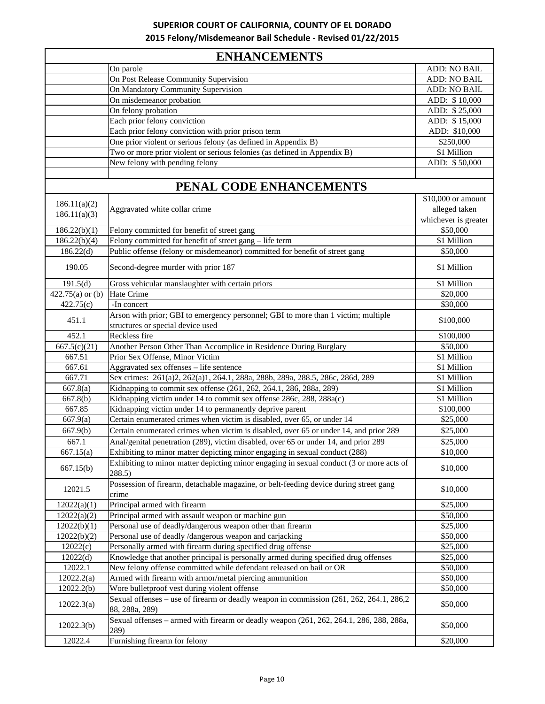|  |  | <b>ENHANCEMENTS</b> |
|--|--|---------------------|
|--|--|---------------------|

|                    | еким сементо                                                                                                  |                      |
|--------------------|---------------------------------------------------------------------------------------------------------------|----------------------|
|                    | On parole                                                                                                     | ADD: NO BAIL         |
|                    | On Post Release Community Supervision                                                                         | ADD: NO BAIL         |
|                    | On Mandatory Community Supervision                                                                            | ADD: NO BAIL         |
|                    | On misdemeanor probation                                                                                      | ADD: \$10,000        |
|                    | On felony probation                                                                                           | ADD: \$25,000        |
|                    | Each prior felony conviction                                                                                  | ADD: \$15,000        |
|                    | Each prior felony conviction with prior prison term                                                           | ADD: \$10,000        |
|                    | One prior violent or serious felony (as defined in Appendix B)                                                | \$250,000            |
|                    | Two or more prior violent or serious felonies (as defined in Appendix B)                                      | \$1 Million          |
|                    | New felony with pending felony                                                                                | ADD: \$50,000        |
|                    |                                                                                                               |                      |
|                    | PENAL CODE ENHANCEMENTS                                                                                       |                      |
|                    |                                                                                                               | \$10,000 or amount   |
| 186.11(a)(2)       | Aggravated white collar crime                                                                                 | alleged taken        |
| 186.11(a)(3)       |                                                                                                               | whichever is greater |
| 186.22(b)(1)       | Felony committed for benefit of street gang                                                                   | \$50,000             |
| 186.22(b)(4)       | Felony committed for benefit of street gang – life term                                                       | \$1 Million          |
| 186.22(d)          | Public offense (felony or misdemeanor) committed for benefit of street gang                                   | \$50,000             |
| 190.05             | Second-degree murder with prior 187                                                                           | \$1 Million          |
|                    |                                                                                                               |                      |
| 191.5(d)           | Gross vehicular manslaughter with certain priors                                                              | \$1 Million          |
| $422.75(a)$ or (b) | Hate Crime                                                                                                    | \$20,000             |
| 422.75(c)          | -In concert                                                                                                   | \$30,000             |
| 451.1              | Arson with prior; GBI to emergency personnel; GBI to more than 1 victim; multiple                             | \$100,000            |
|                    | structures or special device used                                                                             |                      |
| 452.1              | Reckless fire                                                                                                 | \$100,000            |
| 667.5(c)(21)       | Another Person Other Than Accomplice in Residence During Burglary                                             | \$50,000             |
| 667.51             | Prior Sex Offense, Minor Victim                                                                               | \$1 Million          |
| 667.61             | Aggravated sex offenses - life sentence                                                                       | \$1 Million          |
| 667.71             | Sex crimes: 261(a)2, 262(a)1, 264.1, 288a, 288b, 289a, 288.5, 286c, 286d, 289                                 | \$1 Million          |
| 667.8(a)           | Kidnapping to commit sex offense (261, 262, 264.1, 286, 288a, 289)                                            | \$1 Million          |
| 667.8(b)           | Kidnapping victim under 14 to commit sex offense 286c, 288, 288a(c)                                           | \$1 Million          |
| 667.85             | Kidnapping victim under 14 to permanently deprive parent                                                      | \$100,000            |
| 667.9(a)           | Certain enumerated crimes when victim is disabled, over 65, or under 14                                       | \$25,000             |
| 667.9(b)           | Certain enumerated crimes when victim is disabled, over 65 or under 14, and prior 289                         | \$25,000             |
| 667.1              | Anal/genital penetration (289), victim disabled, over 65 or under 14, and prior 289                           | \$25,000             |
| 667.15(a)          | Exhibiting to minor matter depicting minor engaging in sexual conduct (288)                                   | \$10,000             |
| 667.15(b)          | Exhibiting to minor matter depicting minor engaging in sexual conduct $(3 \text{ or more acts of})$<br>288.5) | \$10,000             |
| 12021.5            | Possession of firearm, detachable magazine, or belt-feeding device during street gang                         | \$10,000             |
|                    | crime                                                                                                         |                      |
| 12022(a)(1)        | Principal armed with firearm                                                                                  | \$25,000             |
| 12022(a)(2)        | Principal armed with assault weapon or machine gun                                                            | \$50,000             |
| 12022(b)(1)        | Personal use of deadly/dangerous weapon other than firearm                                                    | \$25,000             |
| 12022(b)(2)        | Personal use of deadly /dangerous weapon and carjacking                                                       | \$50,000             |
| 12022(c)           | Personally armed with firearm during specified drug offense                                                   | \$25,000             |
| 12022(d)           | Knowledge that another principal is personally armed during specified drug offenses                           | \$25,000             |
| 12022.1            | New felony offense committed while defendant released on bail or OR                                           | \$50,000             |
| 12022.2(a)         | Armed with firearm with armor/metal piercing ammunition                                                       | \$50,000             |
| 12022.2(b)         | Wore bulletproof vest during violent offense                                                                  | \$50,000             |
| 12022.3(a)         | Sexual offenses – use of firearm or deadly weapon in commission (261, 262, 264.1, 286,2)<br>88, 288a, 289)    | \$50,000             |
| 12022.3(b)         | Sexual offenses – armed with firearm or deadly weapon (261, 262, 264.1, 286, 288, 288a,<br>289)               | \$50,000             |
| 12022.4            | Furnishing firearm for felony                                                                                 | \$20,000             |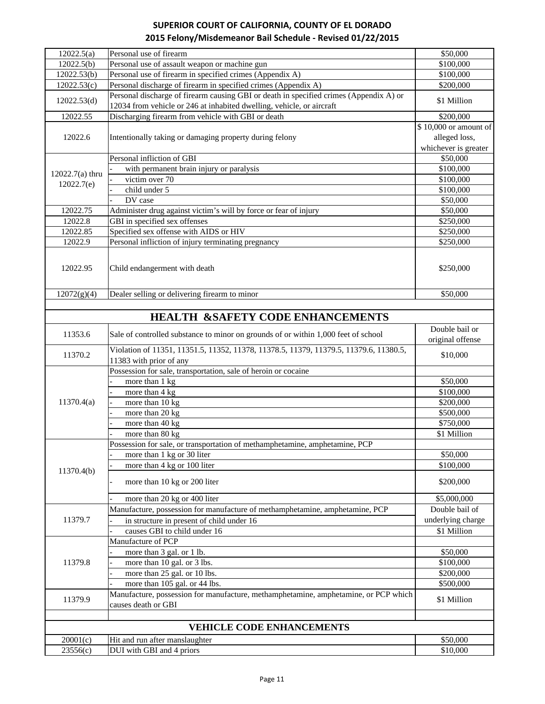| 12022.5(a)                       | Personal use of firearm                                                                | \$50,000              |
|----------------------------------|----------------------------------------------------------------------------------------|-----------------------|
| 12022.5(b)                       | Personal use of assault weapon or machine gun                                          | \$100,000             |
| 12022.53(b)                      | Personal use of firearm in specified crimes (Appendix A)                               | \$100,000             |
| 12022.53(c)                      | Personal discharge of firearm in specified crimes (Appendix A)                         | \$200,000             |
| 12022.53(d)                      | Personal discharge of firearm causing GBI or death in specified crimes (Appendix A) or | \$1 Million           |
|                                  | 12034 from vehicle or 246 at inhabited dwelling, vehicle, or aircraft                  |                       |
| 12022.55                         | Discharging firearm from vehicle with GBI or death                                     | \$200,000             |
|                                  |                                                                                        | \$10,000 or amount of |
| 12022.6                          | Intentionally taking or damaging property during felony                                | alleged loss,         |
|                                  |                                                                                        | whichever is greater  |
|                                  | Personal infliction of GBI                                                             | \$50,000              |
| $12022.7(a)$ thru                | with permanent brain injury or paralysis                                               | \$100,000             |
| 12022.7(e)                       | victim over 70                                                                         | \$100,000             |
|                                  | child under 5                                                                          | \$100,000             |
|                                  | DV case                                                                                | \$50,000              |
| 12022.75                         | Administer drug against victim's will by force or fear of injury                       | \$50,000              |
| 12022.8                          | GBI in specified sex offenses                                                          | $\overline{$}250,000$ |
| 12022.85                         | Specified sex offense with AIDS or HIV                                                 | \$250,000             |
| 12022.9                          | Personal infliction of injury terminating pregnancy                                    | \$250,000             |
|                                  |                                                                                        |                       |
| 12022.95                         | Child endangerment with death                                                          | \$250,000             |
|                                  |                                                                                        |                       |
|                                  |                                                                                        |                       |
| 12072(g)(4)                      | Dealer selling or delivering firearm to minor                                          | \$50,000              |
|                                  |                                                                                        |                       |
|                                  | <b>HEALTH &amp;SAFETY CODE ENHANCEMENTS</b>                                            |                       |
| 11353.6                          | Sale of controlled substance to minor on grounds of or within 1,000 feet of school     | Double bail or        |
|                                  |                                                                                        | original offense      |
| 11370.2                          | Violation of 11351, 11351.5, 11352, 11378, 11378.5, 11379, 11379.5, 11379.6, 11380.5,  | \$10,000              |
|                                  | 11383 with prior of any                                                                |                       |
|                                  | Possession for sale, transportation, sale of heroin or cocaine                         |                       |
|                                  | more than 1 kg                                                                         | \$50,000              |
|                                  | more than 4 kg                                                                         | \$100,000             |
| 11370.4(a)                       | more than 10 kg                                                                        | \$200,000             |
|                                  | more than 20 kg                                                                        | \$500,000             |
|                                  | more than $40$ kg                                                                      | \$750,000             |
|                                  | more than 80 kg                                                                        | \$1 Million           |
|                                  | Possession for sale, or transportation of methamphetamine, amphetamine, PCP            |                       |
|                                  | more than 1 kg or 30 liter                                                             | \$50,000              |
|                                  | more than 4 kg or 100 liter                                                            | \$100,000             |
| 11370.4(b)                       | more than 10 kg or 200 liter                                                           | \$200,000             |
|                                  |                                                                                        |                       |
|                                  | more than 20 kg or 400 liter                                                           | \$5,000,000           |
|                                  | Manufacture, possession for manufacture of methamphetamine, amphetamine, PCP           | Double bail of        |
| 11379.7                          | in structure in present of child under 16                                              | underlying charge     |
|                                  | causes GBI to child under 16                                                           | \$1 Million           |
|                                  | Manufacture of PCP                                                                     |                       |
| 11379.8                          | more than 3 gal. or 1 lb.                                                              | \$50,000              |
|                                  | more than 10 gal. or 3 lbs.                                                            | \$100,000             |
|                                  | more than 25 gal. or 10 lbs.                                                           | \$200,000             |
|                                  | more than 105 gal. or 44 lbs.                                                          | \$500,000             |
|                                  | Manufacture, possession for manufacture, methamphetamine, amphetamine, or PCP which    |                       |
| 11379.9                          | causes death or GBI                                                                    | \$1 Million           |
|                                  |                                                                                        |                       |
| <b>VEHICLE CODE ENHANCEMENTS</b> |                                                                                        |                       |
| 20001(c)                         | Hit and run after manslaughter                                                         | \$50,000              |
| 23556(c)                         | DUI with GBI and 4 priors                                                              | \$10,000              |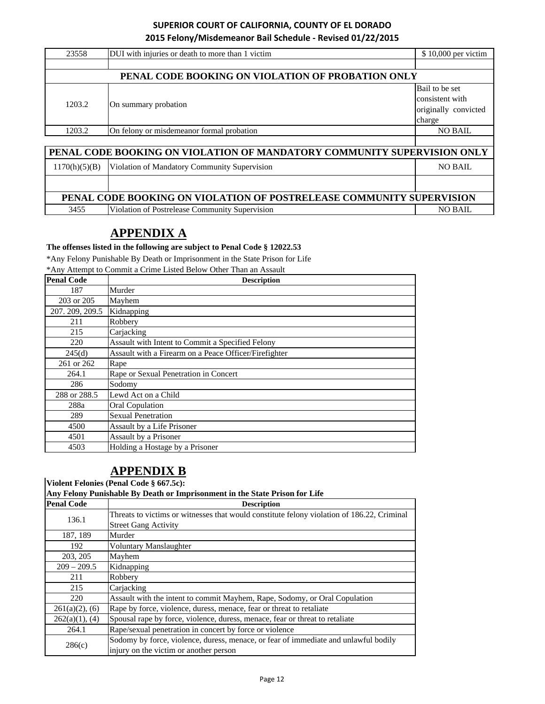| 23558                                                                   | DUI with injuries or death to more than 1 victim  | \$10,000 per victim                                                 |
|-------------------------------------------------------------------------|---------------------------------------------------|---------------------------------------------------------------------|
|                                                                         |                                                   |                                                                     |
|                                                                         | PENAL CODE BOOKING ON VIOLATION OF PROBATION ONLY |                                                                     |
| 1203.2                                                                  | On summary probation                              | Bail to be set<br>consistent with<br>originally convicted<br>charge |
| 1203.2                                                                  | On felony or misdemeanor formal probation         | <b>NO BAIL</b>                                                      |
|                                                                         |                                                   |                                                                     |
| PENAL CODE BOOKING ON VIOLATION OF MANDATORY COMMUNITY SUPERVISION ONLY |                                                   |                                                                     |
| 1170(h)(5)(B)                                                           | Violation of Mandatory Community Supervision      | <b>NO BAIL</b>                                                      |
|                                                                         |                                                   |                                                                     |

# 3455 Violation of Postrelease Community Supervision NO BAIL **PENAL CODE BOOKING ON VIOLATION OF POSTRELEASE COMMUNITY SUPERVISION**

# **APPENDIX A**

**The offenses listed in the following are subject to Penal Code § 12022.53**

\*Any Felony Punishable By Death or Imprisonment in the State Prison for Life  $C$ rime Listed Below Other Than an Assault

| <b>Penal Code</b> | <b>Description</b>                                    |
|-------------------|-------------------------------------------------------|
| 187               | Murder                                                |
| 203 or 205        | Mayhem                                                |
| 207.209, 209.5    | Kidnapping                                            |
| 211               | Robbery                                               |
| 215               | Carjacking                                            |
| 220               | Assault with Intent to Commit a Specified Felony      |
| 245(d)            | Assault with a Firearm on a Peace Officer/Firefighter |
| 261 or 262        | Rape                                                  |
| 264.1             | Rape or Sexual Penetration in Concert                 |
| 286               | Sodomy                                                |
| 288 or 288.5      | Lewd Act on a Child                                   |
| 288a              | <b>Oral Copulation</b>                                |
| 289               | <b>Sexual Penetration</b>                             |
| 4500              | Assault by a Life Prisoner                            |
| 4501              | Assault by a Prisoner                                 |
| 4503              | Holding a Hostage by a Prisoner                       |

# **APPENDIX B**

**Violent Felonies (Penal Code § 667.5c):**

**Any Felony Punishable By Death or Imprisonment in the State Prison for Life**

| <b>Penal Code</b> | <b>Description</b>                                                                         |
|-------------------|--------------------------------------------------------------------------------------------|
| 136.1             | Threats to victims or witnesses that would constitute felony violation of 186.22, Criminal |
|                   | <b>Street Gang Activity</b>                                                                |
| 187, 189          | Murder                                                                                     |
| 192               | Voluntary Manslaughter                                                                     |
| 203, 205          | Mayhem                                                                                     |
| $209 - 209.5$     | Kidnapping                                                                                 |
| 211               | Robbery                                                                                    |
| 215               | Carjacking                                                                                 |
| 220               | Assault with the intent to commit Mayhem, Rape, Sodomy, or Oral Copulation                 |
| $261(a)(2)$ , (6) | Rape by force, violence, duress, menace, fear or threat to retaliate                       |
| $262(a)(1)$ , (4) | Spousal rape by force, violence, duress, menace, fear or threat to retaliate               |
| 264.1             | Rape/sexual penetration in concert by force or violence                                    |
|                   | Sodomy by force, violence, duress, menace, or fear of immediate and unlawful bodily        |
| 286(c)            | injury on the victim or another person                                                     |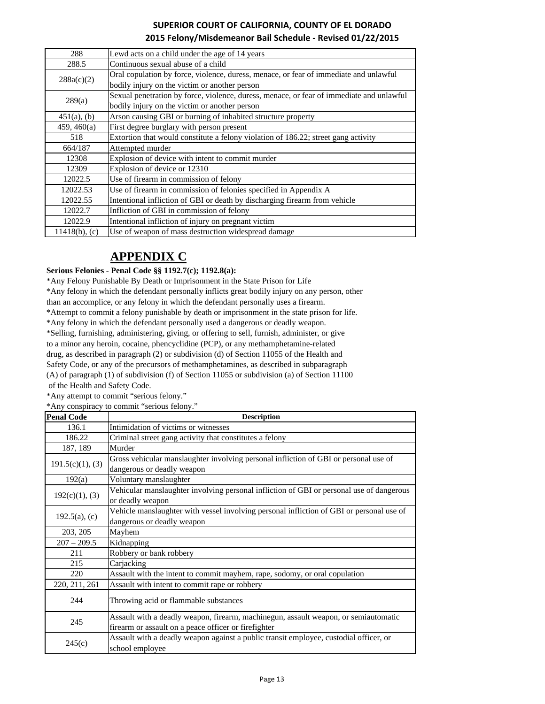| 288              | Lewd acts on a child under the age of 14 years                                           |
|------------------|------------------------------------------------------------------------------------------|
| 288.5            | Continuous sexual abuse of a child                                                       |
| 288a(c)(2)       | Oral copulation by force, violence, duress, menace, or fear of immediate and unlawful    |
|                  | bodily injury on the victim or another person                                            |
|                  | Sexual penetration by force, violence, duress, menace, or fear of immediate and unlawful |
| 289(a)           | bodily injury on the victim or another person                                            |
| $451(a)$ , (b)   | Arson causing GBI or burning of inhabited structure property                             |
| 459, 460(a)      | First degree burglary with person present                                                |
| 518              | Extortion that would constitute a felony violation of 186.22; street gang activity       |
| 664/187          | Attempted murder                                                                         |
| 12308            | Explosion of device with intent to commit murder                                         |
| 12309            | Explosion of device or 12310                                                             |
| 12022.5          | Use of firearm in commission of felony                                                   |
| 12022.53         | Use of firearm in commission of felonies specified in Appendix A                         |
| 12022.55         | Intentional infliction of GBI or death by discharging firearm from vehicle               |
| 12022.7          | Infliction of GBI in commission of felony                                                |
| 12022.9          | Intentional infliction of injury on pregnant victim                                      |
| $11418(b)$ , (c) | Use of weapon of mass destruction widespread damage                                      |

# **APPENDIX C**

#### **Serious Felonies - Penal Code §§ 1192.7(c); 1192.8(a):**

\*Any Felony Punishable By Death or Imprisonment in the State Prison for Life

\*Any felony in which the defendant personally inflicts great bodily injury on any person, other

than an accomplice, or any felony in which the defendant personally uses a firearm.

\*Attempt to commit a felony punishable by death or imprisonment in the state prison for life.

\*Any felony in which the defendant personally used a dangerous or deadly weapon.

\*Selling, furnishing, administering, giving, or offering to sell, furnish, administer, or give

to a minor any heroin, cocaine, phencyclidine (PCP), or any methamphetamine-related

drug, as described in paragraph (2) or subdivision (d) of Section 11055 of the Health and

Safety Code, or any of the precursors of methamphetamines, as described in subparagraph (A) of paragraph (1) of subdivision (f) of Section 11055 or subdivision (a) of Section 11100

of the Health and Safety Code.

\*Any attempt to commit "serious felony."

\*Any conspiracy to commit "serious felony."

| <b>Penal Code</b> | <b>Description</b>                                                                       |
|-------------------|------------------------------------------------------------------------------------------|
| 136.1             | Intimidation of victims or witnesses                                                     |
| 186.22            | Criminal street gang activity that constitutes a felony                                  |
| 187, 189          | Murder                                                                                   |
| 191.5(c)(1), (3)  | Gross vehicular manslaughter involving personal infliction of GBI or personal use of     |
|                   | dangerous or deadly weapon                                                               |
| 192(a)            | Voluntary manslaughter                                                                   |
| 192(c)(1), (3)    | Vehicular manslaughter involving personal infliction of GBI or personal use of dangerous |
|                   | or deadly weapon                                                                         |
| $192.5(a)$ , (c)  | Vehicle manslaughter with vessel involving personal infliction of GBI or personal use of |
|                   | dangerous or deadly weapon                                                               |
| 203, 205          | Mayhem                                                                                   |
| $207 - 209.5$     | Kidnapping                                                                               |
| 211               | Robbery or bank robbery                                                                  |
| 215               | Carjacking                                                                               |
| 220               | Assault with the intent to commit mayhem, rape, sodomy, or oral copulation               |
| 220, 211, 261     | Assault with intent to commit rape or robbery                                            |
| 244               | Throwing acid or flammable substances                                                    |
|                   | Assault with a deadly weapon, firearm, machinegun, assault weapon, or semiautomatic      |
| 245               | firearm or assault on a peace officer or firefighter                                     |
| 245(c)            | Assault with a deadly weapon against a public transit employee, custodial officer, or    |
|                   | school employee                                                                          |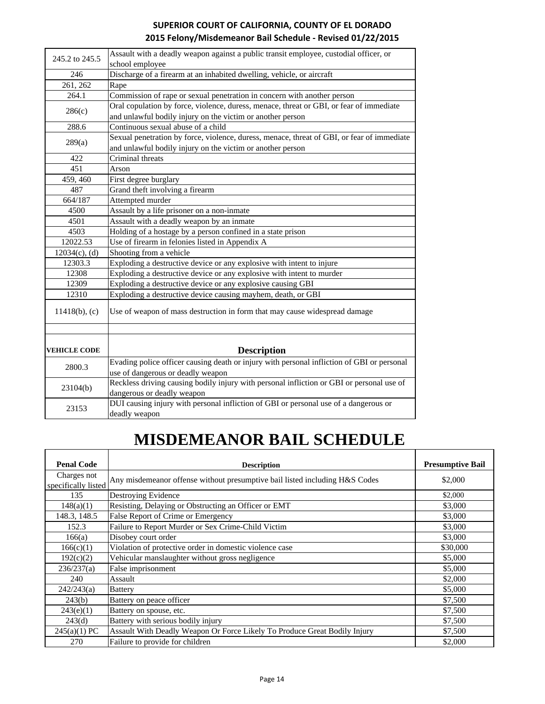| SUPERIOR COURT OF CALIFORNIA, COUNTY OF EL DORADO          |
|------------------------------------------------------------|
| 2015 Felony/Misdemeanor Bail Schedule - Revised 01/22/2015 |

| 245.2 to 245.5      | Assault with a deadly weapon against a public transit employee, custodial officer, or                                           |
|---------------------|---------------------------------------------------------------------------------------------------------------------------------|
|                     | school employee                                                                                                                 |
| 246                 | Discharge of a firearm at an inhabited dwelling, vehicle, or aircraft                                                           |
| 261, 262            | Rape                                                                                                                            |
| 264.1               | Commission of rape or sexual penetration in concern with another person                                                         |
|                     | Oral copulation by force, violence, duress, menace, threat or GBI, or fear of immediate                                         |
| 286(c)              | and unlawful bodily injury on the victim or another person                                                                      |
| 288.6               | Continuous sexual abuse of a child                                                                                              |
|                     | Sexual penetration by force, violence, duress, menace, threat of GBI, or fear of immediate                                      |
| 289(a)              | and unlawful bodily injury on the victim or another person                                                                      |
| 422                 | Criminal threats                                                                                                                |
| 451                 | Arson                                                                                                                           |
| 459, 460            | First degree burglary                                                                                                           |
| 487                 | Grand theft involving a firearm                                                                                                 |
| 664/187             | Attempted murder                                                                                                                |
| 4500                | Assault by a life prisoner on a non-inmate                                                                                      |
| 4501                | Assault with a deadly weapon by an inmate                                                                                       |
| 4503                | Holding of a hostage by a person confined in a state prison                                                                     |
| 12022.53            | Use of firearm in felonies listed in Appendix A                                                                                 |
| $12034(c)$ , (d)    | Shooting from a vehicle                                                                                                         |
| 12303.3             | Exploding a destructive device or any explosive with intent to injure                                                           |
| 12308               | Exploding a destructive device or any explosive with intent to murder                                                           |
| 12309               | Exploding a destructive device or any explosive causing GBI                                                                     |
| 12310               | Exploding a destructive device causing mayhem, death, or GBI                                                                    |
| $11418(b)$ , (c)    | Use of weapon of mass destruction in form that may cause widespread damage                                                      |
| <b>VEHICLE CODE</b> | <b>Description</b>                                                                                                              |
| 2800.3              | Evading police officer causing death or injury with personal infliction of GBI or personal<br>use of dangerous or deadly weapon |
| 23104(b)            | Reckless driving causing bodily injury with personal infliction or GBI or personal use of<br>dangerous or deadly weapon         |
| 23153               | DUI causing injury with personal infliction of GBI or personal use of a dangerous or<br>deadly weapon                           |

# **MISDEMEANOR BAIL SCHEDULE**

| <b>Penal Code</b>                  | <b>Description</b>                                                          | <b>Presumptive Bail</b> |
|------------------------------------|-----------------------------------------------------------------------------|-------------------------|
| Charges not<br>specifically listed | Any misdemeanor offense without presumptive bail listed including H&S Codes | \$2,000                 |
| 135                                | Destroying Evidence                                                         | \$2,000                 |
| 148(a)(1)                          | Resisting, Delaying or Obstructing an Officer or EMT                        | \$3,000                 |
| 148.3, 148.5                       | False Report of Crime or Emergency                                          | \$3,000                 |
| 152.3                              | Failure to Report Murder or Sex Crime-Child Victim                          | \$3,000                 |
| 166(a)                             | Disobey court order                                                         | \$3,000                 |
| 166(c)(1)                          | Violation of protective order in domestic violence case                     | \$30,000                |
| 192(c)(2)                          | Vehicular manslaughter without gross negligence                             | \$5,000                 |
| 236/237(a)                         | False imprisonment                                                          | \$5,000                 |
| 240                                | Assault                                                                     | \$2,000                 |
| 242/243(a)                         | <b>Battery</b>                                                              | \$5,000                 |
| 243(b)                             | Battery on peace officer                                                    | \$7,500                 |
| 243(e)(1)                          | Battery on spouse, etc.                                                     | \$7,500                 |
| 243(d)                             | Battery with serious bodily injury                                          | \$7,500                 |
| $245(a)(1)$ PC                     | Assault With Deadly Weapon Or Force Likely To Produce Great Bodily Injury   | \$7,500                 |
| 270                                | Failure to provide for children                                             | \$2,000                 |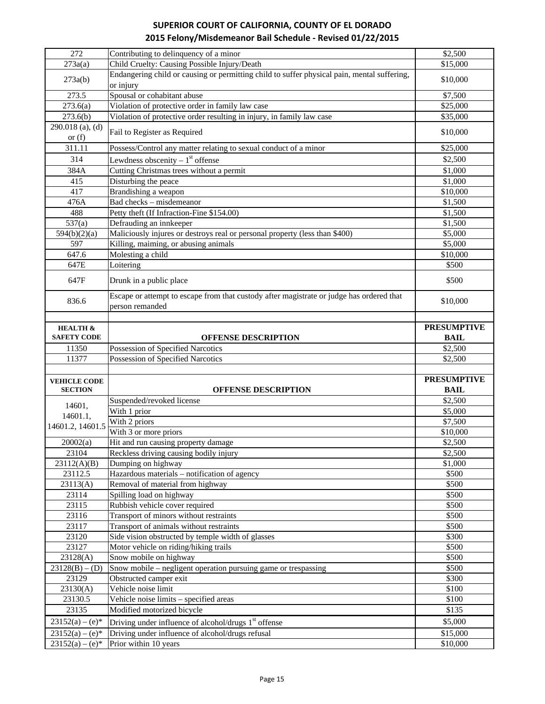| 272                                    | Contributing to delinquency of a minor                                                                              | \$2,500              |
|----------------------------------------|---------------------------------------------------------------------------------------------------------------------|----------------------|
| 273a(a)                                | Child Cruelty: Causing Possible Injury/Death                                                                        | \$15,000             |
|                                        | Endangering child or causing or permitting child to suffer physical pain, mental suffering,                         | \$10,000             |
| 273a(b)                                | or injury                                                                                                           |                      |
| 273.5                                  | Spousal or cohabitant abuse                                                                                         | $\overline{$}37,500$ |
| 273.6(a)                               | Violation of protective order in family law case                                                                    | \$25,000             |
| 273.6(b)                               | Violation of protective order resulting in injury, in family law case                                               | \$35,000             |
| 290.018 (a), (d)<br>or $(f)$           | Fail to Register as Required                                                                                        | \$10,000             |
| 311.11                                 | Possess/Control any matter relating to sexual conduct of a minor                                                    | \$25,000             |
| 314                                    | Lewdness obscenity $-1st$ offense                                                                                   | \$2,500              |
| 384A                                   | Cutting Christmas trees without a permit                                                                            | \$1,000              |
| 415                                    | Disturbing the peace                                                                                                | \$1,000              |
| 417                                    | Brandishing a weapon                                                                                                | \$10,000             |
| 476A                                   | Bad checks - misdemeanor                                                                                            | \$1,500              |
| 488                                    | Petty theft (If Infraction-Fine \$154.00)                                                                           | \$1,500              |
| 537(a)                                 | Defrauding an innkeeper                                                                                             | \$1,500              |
| 594(b)(2)(a)                           | Maliciously injures or destroys real or personal property (less than \$400)                                         | \$5,000              |
| 597                                    | Killing, maiming, or abusing animals                                                                                | \$5,000              |
| 647.6                                  | Molesting a child                                                                                                   | \$10,000             |
| 647E                                   | Loitering                                                                                                           | \$500                |
|                                        |                                                                                                                     |                      |
| 647F                                   | Drunk in a public place<br>Escape or attempt to escape from that custody after magistrate or judge has ordered that | \$500                |
| 836.6                                  | person remanded                                                                                                     | \$10,000             |
|                                        |                                                                                                                     |                      |
| <b>HEALTH &amp;</b>                    |                                                                                                                     | <b>PRESUMPTIVE</b>   |
| <b>SAFETY CODE</b>                     | <b>OFFENSE DESCRIPTION</b>                                                                                          | <b>BAIL</b>          |
| 11350                                  | Possession of Specified Narcotics                                                                                   | \$2,500              |
|                                        |                                                                                                                     |                      |
| 11377                                  | Possession of Specified Narcotics                                                                                   | \$2,500              |
|                                        |                                                                                                                     |                      |
| <b>VEHICLE CODE</b>                    |                                                                                                                     | <b>PRESUMPTIVE</b>   |
| <b>SECTION</b>                         | <b>OFFENSE DESCRIPTION</b>                                                                                          | <b>BAIL</b>          |
|                                        | Suspended/revoked license                                                                                           | \$2,500              |
| 14601,                                 | With 1 prior                                                                                                        | \$5,000              |
| 14601.1,                               | With 2 priors                                                                                                       | \$7,500              |
| 14601.2, 14601.5                       | With 3 or more priors                                                                                               | \$10,000             |
| 20002(a)                               | Hit and run causing property damage                                                                                 | \$2,500              |
| 23104                                  | Reckless driving causing bodily injury                                                                              | \$2,500              |
| 23112(A)(B)                            | Dumping on highway                                                                                                  | \$1,000              |
| 23112.5                                | Hazardous materials - notification of agency                                                                        | \$500                |
| 23113(A)                               | Removal of material from highway                                                                                    | \$500                |
| 23114                                  | Spilling load on highway                                                                                            | \$500                |
| 23115                                  | Rubbish vehicle cover required                                                                                      | \$500                |
| 23116                                  | Transport of minors without restraints                                                                              | \$500                |
| 23117                                  | Transport of animals without restraints                                                                             | \$500                |
| 23120                                  | Side vision obstructed by temple width of glasses                                                                   | \$300                |
| 23127                                  | Motor vehicle on riding/hiking trails                                                                               | \$500                |
| 23128(A)                               | Snow mobile on highway                                                                                              | \$500                |
| $23128(B) - (D)$                       | Snow mobile – negligent operation pursuing game or trespassing                                                      | \$500                |
| 23129                                  | Obstructed camper exit                                                                                              | \$300                |
| 23130(A)                               | Vehicle noise limit                                                                                                 | \$100                |
| 23130.5                                | Vehicle noise limits - specified areas                                                                              | \$100                |
| 23135                                  | Modified motorized bicycle                                                                                          | \$135                |
| $23152(a) - (e)*$                      | Driving under influence of alcohol/drugs 1 <sup>st</sup> offense                                                    | \$5,000              |
| $23152(a) - (e)*$<br>$23152(a) - (e)*$ | Driving under influence of alcohol/drugs refusal                                                                    | \$15,000             |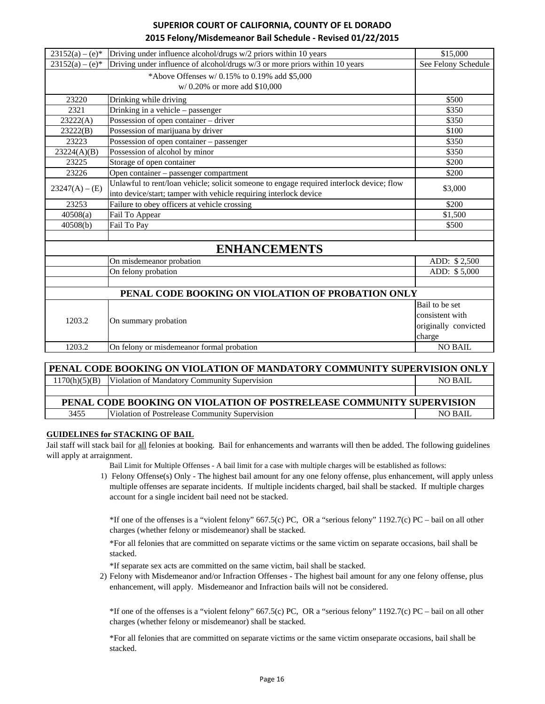| $23152(a) - (e)*$                                 | Driving under influence alcohol/drugs w/2 priors within 10 years                         | \$15,000             |
|---------------------------------------------------|------------------------------------------------------------------------------------------|----------------------|
| $23152(a) - (e)^*$                                | Driving under influence of alcohol/drugs w/3 or more priors within 10 years              | See Felony Schedule  |
|                                                   | *Above Offenses $w/0.15\%$ to 0.19% add \$5,000                                          |                      |
|                                                   | w/0.20% or more add \$10,000                                                             |                      |
| 23220                                             | Drinking while driving                                                                   | \$500                |
| 2321                                              | Drinking in a vehicle – passenger                                                        | \$350                |
| 23222(A)                                          | Possession of open container - driver                                                    | \$350                |
| 23222(B)                                          | Possession of marijuana by driver                                                        | \$100                |
| 23223                                             | Possession of open container - passenger                                                 | \$350                |
| 23224(A)(B)                                       | Possession of alcohol by minor                                                           | \$350                |
| 23225                                             | Storage of open container                                                                | \$200                |
| 23226                                             | Open container - passenger compartment                                                   | \$200                |
| $23247(A) - (E)$                                  | Unlawful to rent/loan vehicle; solicit someone to engage required interlock device; flow | \$3,000              |
|                                                   | into device/start; tamper with vehicle requiring interlock device                        |                      |
| 23253                                             | Failure to obey officers at vehicle crossing                                             | \$200                |
| 40508(a)                                          | Fail To Appear                                                                           | \$1,500              |
| 40508(b)                                          | Fail To Pay                                                                              | \$500                |
|                                                   | <b>ENHANCEMENTS</b>                                                                      |                      |
|                                                   | On misdemeanor probation                                                                 | ADD: \$2,500         |
|                                                   | On felony probation                                                                      | ADD: \$5,000         |
|                                                   |                                                                                          |                      |
| PENAL CODE BOOKING ON VIOLATION OF PROBATION ONLY |                                                                                          |                      |
|                                                   |                                                                                          | Bail to be set       |
|                                                   |                                                                                          | consistent with      |
| 1203.2                                            | On summary probation                                                                     | originally convicted |
|                                                   |                                                                                          | charge               |
| 1203.2                                            | On felony or misdemeanor formal probation                                                | <b>NO BAIL</b>       |
|                                                   |                                                                                          |                      |

| PENAL CODE BOOKING ON VIOLATION OF MANDATORY COMMUNITY SUPERVISION ONLY |                                                |                |  |
|-------------------------------------------------------------------------|------------------------------------------------|----------------|--|
| 1170(h)(5)(B)                                                           | Violation of Mandatory Community Supervision   | <b>NO BAIL</b> |  |
|                                                                         |                                                |                |  |
| PENAL CODE BOOKING ON VIOLATION OF POSTRELEASE COMMUNITY SUPERVISION    |                                                |                |  |
| 3455                                                                    | Violation of Postrelease Community Supervision | NO BAIL        |  |

#### **GUIDELINES for STACKING OF BAIL**

Jail staff will stack bail for all felonies at booking. Bail for enhancements and warrants will then be added. The following guidelines will apply at arraignment.

Bail Limit for Multiple Offenses - A bail limit for a case with multiple charges will be established as follows:

1) Felony Offense(s) Only - The highest bail amount for any one felony offense, plus enhancement, will apply unless multiple offenses are separate incidents. If multiple incidents charged, bail shall be stacked. If multiple charges account for a single incident bail need not be stacked.

\*If one of the offenses is a "violent felony" 667.5(c) PC, OR a "serious felony" 1192.7(c) PC – bail on all other charges (whether felony or misdemeanor) shall be stacked.

\*For all felonies that are committed on separate victims or the same victim on separate occasions, bail shall be stacked.

\*If separate sex acts are committed on the same victim, bail shall be stacked.

2) Felony with Misdemeanor and/or Infraction Offenses - The highest bail amount for any one felony offense, plus enhancement, will apply. Misdemeanor and Infraction bails will not be considered.

\*If one of the offenses is a "violent felony" 667.5(c) PC, OR a "serious felony" 1192.7(c) PC – bail on all other charges (whether felony or misdemeanor) shall be stacked.

\*For all felonies that are committed on separate victims or the same victim onseparate occasions, bail shall be stacked.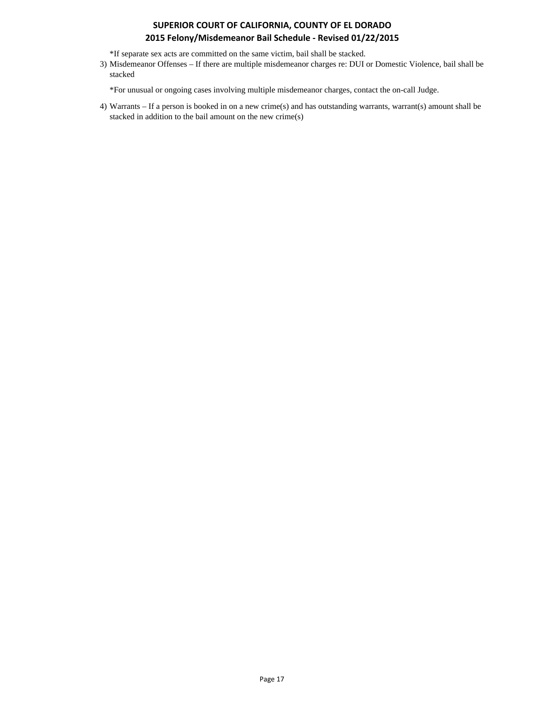\*If separate sex acts are committed on the same victim, bail shall be stacked.

3) Misdemeanor Offenses – If there are multiple misdemeanor charges re: DUI or Domestic Violence, bail shall be stacked

\*For unusual or ongoing cases involving multiple misdemeanor charges, contact the on-call Judge.

4) Warrants – If a person is booked in on a new crime(s) and has outstanding warrants, warrant(s) amount shall be stacked in addition to the bail amount on the new crime(s)